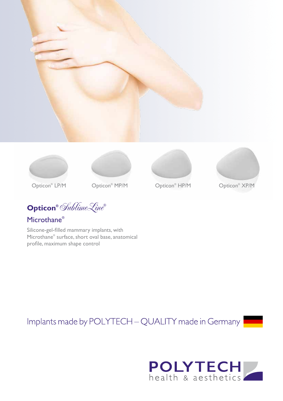







Opticon<sup>®</sup> HP/M



Opticon<sup>®</sup> XP/M

Opticon<sup>®</sup> LP/M

Opticon® Opticon XP/M ®

**Opticon®** SublimeLine**®**

Microthane®

Silicone-gel-filled mammary implants, with Microthane® surface, short oval base, anatomical profile, maximum shape control

Implants made by POLYTECH - QUALITY made in Germany